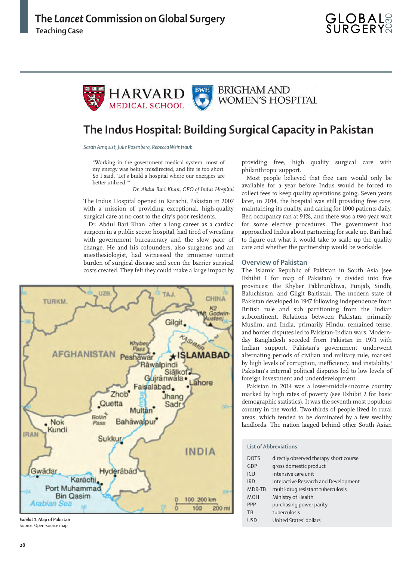

# **The Indus Hospital: Building Surgical Capacity in Pakistan**

*Sarah Arnquist, Julie Rosenberg, Rebecca Weintraub*

"Working in the government medical system, most of my energy was being misdirected, and life is too short. So I said, 'Let's build a hospital where our energies are better utilized.'

*Dr. Abdul Bari Khan, CEO of Indus Hospital*

The Indus Hospital opened in Karachi, Pakistan in 2007 with a mission of providing exceptional, high-quality surgical care at no cost to the city's poor residents.

Dr. Abdul Bari Khan, after a long career as a cardiac surgeon in a public sector hospital, had tired of wrestling with government bureaucracy and the slow pace of change. He and his cofounders, also surgeons and an anesthesiologist, had witnessed the immense unmet burden of surgical disease and seen the barrier surgical costs created. They felt they could make a large impact by



*Exhibit 1:* **Map of Pakistan** Source: Open-source map.

providing free, high quality surgical care with philanthropic support.

Most people believed that free care would only be available for a year before Indus would be forced to collect fees to keep quality operations going. Seven years later, in 2014, the hospital was still providing free care, maintaining its quality, and caring for 1000 patients daily. Bed occupancy ran at 91%, and there was a two-year wait for some elective procedures. The government had approached Indus about partnering for scale up. Bari had to figure out what it would take to scale up the quality care and whether the partnership would be workable.

## **Overview of Pakistan**

The Islamic Republic of Pakistan in South Asia (see Exhibit 1 for map of Pakistan) is divided into five provinces: the Khyber Pakhtunkhwa, Punjab, Sindh, Baluchistan, and Gilgit Baltistan. The modern state of Pakistan developed in 1947 following independence from British rule and sub partitioning from the Indian subcontinent. Relations between Pakistan, primarily Muslim, and India, primarily Hindu, remained tense, and border disputes led to Pakistan-Indian wars. Modernday Bangladesh seceded from Pakistan in 1971 with Indian support. Pakistan's government underwent alternating periods of civilian and military rule, marked by high levels of corruption, inefficiency, and instability.<sup>1</sup> Pakistan's internal political disputes led to low levels of foreign investment and underdevelopment.

Pakistan in 2014 was a lower-middle-income country marked by high rates of poverty (see Exhibit 2 for basic demographic statistics). It was the seventh most populous country in the world. Two-thirds of people lived in rural areas, which tended to be dominated by a few wealthy landlords. The nation lagged behind other South Asian

#### **List of Abbreviations**

| <b>DOTS</b> | directly observed therapy short course |
|-------------|----------------------------------------|
| GDP         | gross domestic product                 |
| ICU         | intensive care unit                    |
| <b>IRD</b>  | Interactive Research and Development   |
| MDR-TB      | multi-drug resistant tuberculosis      |
| <b>MOH</b>  | Ministry of Health                     |
| PPP         | purchasing power parity                |
| <b>TB</b>   | tuberculosis                           |
| <b>USD</b>  | United States' dollars                 |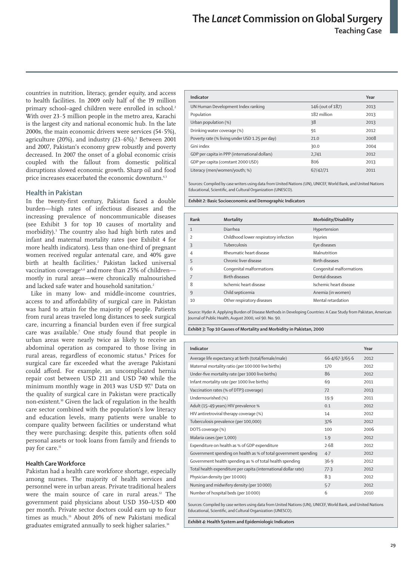countries in nutrition, literacy, gender equity, and access to health facilities. In 2009 only half of the 19 million primary school-aged children were enrolled in school.<sup>2</sup> With over 23·5 million people in the metro area, Karachi is the largest city and national economic hub. In the late 2000s, the main economic drivers were services (54·5%), agriculture (20%), and industry (23·6%).3 Between 2001 and 2007, Pakistan's economy grew robustly and poverty decreased. In 2007 the onset of a global economic crisis coupled with the fallout from domestic political disruptions slowed economic growth. Sharp oil and food price increases exacerbated the economic downturn.<sup>4,3</sup>

# **Health in Pakistan**

In the twenty-first century, Pakistan faced a double burden—high rates of infectious diseases and the increasing prevalence of noncommunicable diseases (see Exhibit 3 for top 10 causes of mortality and morbidity).5 The country also had high birth rates and infant and maternal mortality rates (see Exhibit 4 for more health indicators). Less than one-third of pregnant women received regular antenatal care, and 40% gave birth at health facilities.<sup>2</sup> Pakistan lacked universal vaccination coverage<sup>A,6</sup> and more than 25% of children mostly in rural areas—were chronically malnourished and lacked safe water and household sanitation.<sup>2</sup>

Like in many low- and middle-income countries, access to and affordability of surgical care in Pakistan was hard to attain for the majority of people. Patients from rural areas traveled long distances to seek surgical care, incurring a financial burden even if free surgical care was available.7 One study found that people in urban areas were nearly twice as likely to receive an abdominal operation as compared to those living in rural areas, regardless of economic status.<sup>8</sup> Prices for surgical care far exceeded what the average Pakistani could afford. For example, an uncomplicated hernia repair cost between USD 211 and USD 740 while the minimum monthly wage in 2013 was USD 97.9 Data on the quality of surgical care in Pakistan were practically non-existent.10 Given the lack of regulation in the health care sector combined with the population's low literacy and education levels, many patients were unable to compare quality between facilities or understand what they were purchasing; despite this, patients often sold personal assets or took loans from family and friends to pay for care.<sup>11</sup>

## **Health Care Workforce**

Pakistan had a health care workforce shortage, especially among nurses. The majority of health services and personnel were in urban areas. Private traditional healers were the main source of care in rural areas.<sup>12</sup> The government paid physicians about USD 350–USD 400 per month. Private sector doctors could earn up to four times as much.<sup>13</sup> About 20% of new Pakistani medical graduates emigrated annually to seek higher salaries.<sup>14</sup>

| Indicator                                      |                  | Year |
|------------------------------------------------|------------------|------|
| UN Human Development Index ranking             | 146 (out of 187) | 2013 |
| Population                                     | 182 million      | 2013 |
| Urban population (%)                           | 38               | 2013 |
| Drinking water coverage (%)                    | 91               | 2012 |
| Poverty rate (% living under USD 1.25 per day) | 21.0             | 2008 |
| Gini index                                     | 30.0             | 2004 |
| GDP per capita in PPP (international dollars)  | 2,741            | 2012 |
| GDP per capita (constant 2000 USD)             | 806              | 2013 |
| Literacy (men/women/youth; %)                  | 67/42/71         | 2011 |

Sources: Compiled by case writers using data from United Nations (UN), UNICEF, World Bank, and United Nations Educational, Scientific, and Cultural Organization (UNESCO).

*Exhibit 2:* **Basic Socioeconomic and Demographic Indicators**

| Rank                     | <b>Mortality</b>                      | Morbidity/Disability     |
|--------------------------|---------------------------------------|--------------------------|
| $\mathbf{1}$             | Diarrhea                              | Hypertension             |
| $\overline{\phantom{a}}$ | Childhood lower respiratory infection | Injuries                 |
| ξ                        | Tuberculosis                          | Eye diseases             |
| $\overline{4}$           | Rheumatic heart disease               | Malnutrition             |
| 5                        | Chronic liver disease                 | <b>Birth diseases</b>    |
| 6                        | Congenital malformations              | Congenital malformations |
|                          | <b>Birth diseases</b>                 | Dental diseases          |
| 8                        | Ischemic heart disease                | Ischemic heart disease   |
| $\mathsf{Q}$             | Child septicemia                      | Anemia (in women)        |
| 10                       | Other respiratory diseases            | Mental retardation       |

Source: Hyder A. Applying Burden of Disease Methods in Developing Countries: A Case Study from Pakistan, American Journal of Public Health, August 2000, vol 90. No. 90.

*Exhibit 3:* **Top 10 Causes of Mortality and Morbidity in Pakistan, 2000**

| Indicator                                                       |                | Year |
|-----------------------------------------------------------------|----------------|------|
| Average life expectancy at birth (total/female/male)            | 66.4/67.3/65.6 | 2012 |
| Maternal mortality ratio (per 100 000 live births)              | 170            | 2012 |
| Under-five mortality rate (per 1000 live births)                | 86             | 2012 |
| Infant mortality rate (per 1000 live births)                    | 69             | 2011 |
| Vaccination rates (% of DTP3 coverage)                          | 72             | 2013 |
| Undernourished (%)                                              | 19.9           | 2011 |
| Adult (15-49 years) HIV prevalence %                            | 0.1            | 2012 |
| HIV antiretroviral therapy coverage (%)                         | 14             | 2012 |
| Tuberculosis prevalence (per 100,000)                           | 376            | 2012 |
| DOTS coverage (%)                                               | 100            | 2006 |
| Malaria cases (per 1,000)                                       | 1.9            | 2012 |
| Expenditure on health as % of GDP expenditure                   | 2.68           | 2012 |
| Government spending on health as % of total government spending | 4.7            | 2012 |
| Government health spending as % of total health spending        | 36.9           | 2012 |
| Total health expenditure per capita (international dollar rate) | 77.3           | 2012 |
| Physician density (per 10000)                                   | 8.3            | 2012 |
| Nursing and midwifery density (per 10000)                       | 5.7            | 2012 |
| Number of hospital beds (per 10000)                             | 6              | 2010 |
|                                                                 |                |      |

Sources: Compiled by case writers using data from United Nations (UN), UNICEF, World Bank, and United Nations Educational, Scientific, and Cultural Organization (UNESCO).

*Exhibit 4:* **Health System and Epidemiologic Indicators**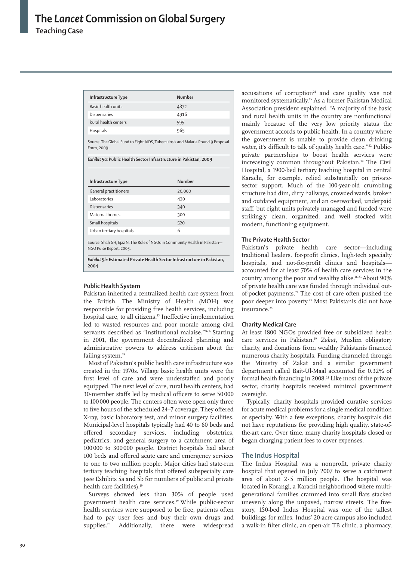| Infrastructure Type  | Number |  |
|----------------------|--------|--|
| Basic health units   | 4872   |  |
| Dispensaries         | 4916   |  |
| Rural health centers | 595    |  |
| Hospitals            | 965    |  |

Form, 2009.

Source: The Global Fund to Fight AIDS, Tuberculosis and Malaria Round 9 Proposal

*Exhibit 5a:* **Public Health Sector Infrastructure in Pakistan, 2009**

| Infrastructure Type                                                        | <b>Number</b> |
|----------------------------------------------------------------------------|---------------|
| General practitioners                                                      | 20,000        |
| Laboratories                                                               | 420           |
| Dispensaries                                                               | 340           |
| Maternal homes                                                             | 300           |
| Small hospitals                                                            | 520           |
| Urban tertiary hospitals                                                   | 6             |
| Source: Shah GH, Ejaz N. The Role of NGOs in Community Health in Pakistan- |               |

NGO Pulse Report, 2005.

*Exhibit 5b:* **Estimated Private Health Sector Infrastructure in Pakistan, 2004**

# **Public Health System**

Pakistan inherited a centralized health care system from the British. The Ministry of Health (MOH) was responsible for providing free health services, including hospital care, to all citizens.<sup>15</sup> Ineffective implementation led to wasted resources and poor morale among civil servants described as "institutional malaise."<sup>16,17</sup> Starting in 2001, the government decentralized planning and administrative powers to address criticism about the failing system.<sup>18</sup>

Most of Pakistan's public health care infrastructure was created in the 1970s. Village basic health units were the first level of care and were understaffed and poorly equipped. The next level of care, rural health centers, had 30-member staffs led by medical officers to serve 50000 to 100 000 people. The centers often were open only three to five hours of the scheduled 24–7 coverage. They offered X-ray, basic laboratory test, and minor surgery facilities. Municipal-level hospitals typically had 40 to 60 beds and offered secondary services, including obstetrics, pediatrics, and general surgery to a catchment area of 100 000 to 300 000 people. District hospitals had about 100 beds and offered acute care and emergency services to one to two million people. Major cities had state-run tertiary teaching hospitals that offered subspecialty care (see Exhibits 5a and 5b for numbers of public and private health care facilities).<sup>19</sup>

Surveys showed less than 30% of people used government health care services.19 While public-sector health services were supposed to be free, patients often had to pay user fees and buy their own drugs and supplies.<sup>20</sup> Additionally, there were widespread accusations of corruption $21$  and care quality was not monitored systematically.15 As a former Pakistan Medical Association president explained, "A majority of the basic and rural health units in the country are nonfunctional mainly because of the very low priority status the government accords to public health. In a country where the government is unable to provide clean drinking water, it's difficult to talk of quality health care."<sup>22</sup> Publicprivate partnerships to boost health services were increasingly common throughout Pakistan.19 The Civil Hospital, a 1900-bed tertiary teaching hospital in central Karachi, for example, relied substantially on privatesector support. Much of the 100-year-old crumbling structure had dim, dirty hallways, crowded wards, broken and outdated equipment, and an overworked, underpaid staff, but eight units privately managed and funded were strikingly clean, organized, and well stocked with modern, functioning equipment.

# **The Private Health Sector**

Pakistan's private health care sector—including traditional healers, for-profit clinics, high-tech specialty hospitals, and not-for-profit clinics and hospitals accounted for at least 70% of health care services in the country among the poor and wealthy alike.16,23 About 90% of private health care was funded through individual outof-pocket payments.24 The cost of care often pushed the poor deeper into poverty.23 Most Pakistanis did not have insurance.<sup>25</sup>

# **Charity Medical Care**

At least 1800 NGOs provided free or subsidized health care services in Pakistan.19 *Zakat*, Muslim obligatory charity, and donations from wealthy Pakistanis financed numerous charity hospitals. Funding channeled through the Ministry of Zakat and a similar government department called Bait-Ul-Maal accounted for 0.32% of formal health financing in 2008.<sup>23</sup> Like most of the private sector, charity hospitals received minimal government oversight.

Typically, charity hospitals provided curative services for acute medical problems for a single medical condition or specialty. With a few exceptions, charity hospitals did not have reputations for providing high quality, state-ofthe-art care. Over time, many charity hospitals closed or began charging patient fees to cover expenses.

# **The Indus Hospital**

The Indus Hospital was a nonprofit, private charity hospital that opened in July 2007 to serve a catchment area of about 2·5 million people. The hospital was located in Korangi, a Karachi neighborhood where multigenerational families crammed into small flats stacked unevenly along the unpaved, narrow streets. The fivestory, 150-bed Indus Hospital was one of the tallest buildings for miles. Indus' 20-acre campus also included a walk-in filter clinic, an open-air TB clinic, a pharmacy,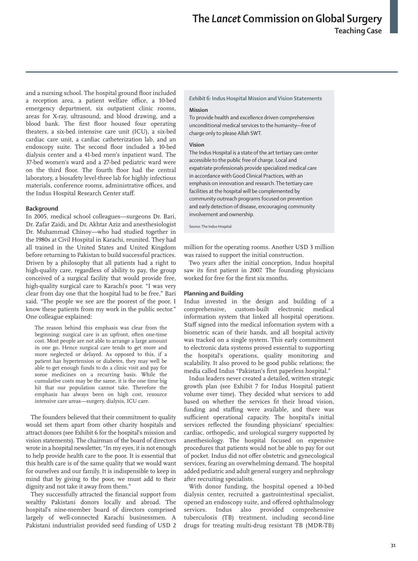and a nursing school. The hospital ground floor included a reception area, a patient welfare office, a 10-bed emergency department, six outpatient clinic rooms, areas for X-ray, ultrasound, and blood drawing, and a blood bank. The first floor housed four operating theaters, a six-bed intensive care unit (ICU), a six-bed cardiac care unit, a cardiac catheterization lab, and an endoscopy suite. The second floor included a 10-bed dialysis center and a 41-bed men's inpatient ward. The 37-bed women's ward and a 27-bed pediatric ward were on the third floor. The fourth floor had the central laboratory, a biosafety level-three lab for highly infectious materials, conference rooms, administrative offices, and the Indus Hospital Research Center staff.

#### **Background**

In 2005, medical school colleagues—surgeons Dr. Bari, Dr. Zafar Zaidi, and Dr. Akhtar Aziz and anesthesiologist Dr. Muhammad Chinoy*—*who had studied together in the 1980s at Civil Hospital in Karachi, reunited. They had all trained in the United States and United Kingdom before returning to Pakistan to build successful practices. Driven by a philosophy that all patients had a right to high-quality care, regardless of ability to pay, the group conceived of a surgical facility that would provide free, high-quality surgical care to Karachi's poor. "I was very clear from day one that the hospital had to be free," Bari said. "The people we see are the poorest of the poor. I know these patients from my work in the public sector." One colleague explained:

The reason behind this emphasis was clear from the beginning: surgical care is an upfront, often one-time cost. Most people are not able to arrange a large amount in one go. Hence surgical care tends to get more and more neglected or delayed. As opposed to this, if a patient has hypertension or diabetes, they may well be able to get enough funds to do a clinic visit and pay for some medicines on a recurring basis. While the cumulative costs may be the same, it is the one time big hit that our population cannot take. Therefore the emphasis has always been on high cost, resource intensive care areas—surgery, dialysis, ICU care.

The founders believed that their commitment to quality would set them apart from other charity hospitals and attract donors (see Exhibit 6 for the hospital's mission and vision statements). The chairman of the board of directors wrote in a hospital newsletter, "In my eyes, it is not enough to help provide health care to the poor. It is essential that this health care is of the same quality that we would want for ourselves and our family. It is indispensible to keep in mind that by giving to the poor, we must add to their dignity and not take it away from them."

They successfully attracted the financial support from wealthy Pakistani donors locally and abroad. The hospital's nine-member board of directors comprised largely of well-connected Karachi businessmen. A Pakistani industrialist provided seed funding of USD 2

#### *Exhibit 6:* **Indus Hospital Mission and Vision Statements**

#### **Mission**

To provide health and excellence driven comprehensive unconditional medical services to the humanity—free of charge only to please Allah SWT.

#### **Vision**

The Indus Hospital is a state of the art tertiary care center accessible to the public free of charge. Local and expatriate professionals provide specialized medical care in accordance with Good Clinical Practices, with an emphasis on innovation and research. The tertiary care facilities at the hospital will be complemented by community outreach programs focused on prevention and early detection of disease, encouraging community involvement and ownership.

Source: The Indus Hospital.

million for the operating rooms. Another USD 3 million was raised to support the initial construction.

Two years after the initial conception, Indus hospital saw its first patient in 2007. The founding physicians worked for free for the first six months.

#### **Planning and Building**

Indus invested in the design and building of a comprehensive, custom-built electronic medical information system that linked all hospital operations. Staff signed into the medical information system with a biometric scan of their hands, and all hospital activity was tracked on a single system. This early commitment to electronic data systems proved essential to supporting the hospital's operations, quality monitoring and scalability. It also proved to be good public relations; the media called Indus "Pakistan's first paperless hospital."

Indus leaders never created a detailed, written strategic growth plan (see Exhibit 7 for Indus Hospital patient volume over time). They decided what services to add based on whether the services fit their broad vision, funding and staffing were available, and there was sufficient operational capacity. The hospital's initial services reflected the founding physicians' specialties: cardiac, orthopedic, and urological surgery supported by anesthesiology. The hospital focused on expensive procedures that patients would not be able to pay for out of pocket. Indus did not offer obstetric and gynecological services, fearing an overwhelming demand. The hospital added pediatric and adult general surgery and nephrology after recruiting specialists.

With donor funding, the hospital opened a 10-bed dialysis center, recruited a gastrointestinal specialist, opened an endoscopy suite, and offered ophthalmology services. Indus also provided comprehensive tuberculosis (TB) treatment, including second-line drugs for treating multi-drug resistant TB (MDR-TB)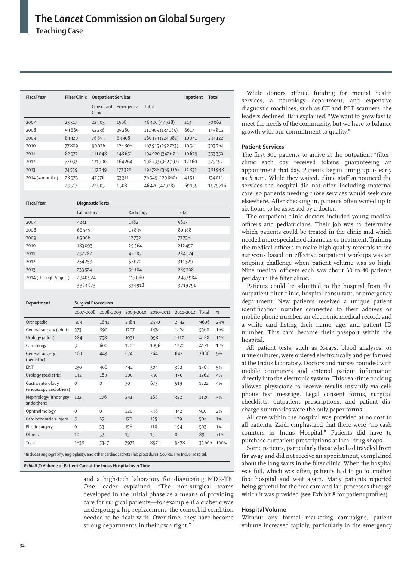| <b>Fiscal Year</b>                                                                                         | <b>Filter Clinic</b> | <b>Outpatient Services</b> |                      |                   | Inpatient | Total |         |
|------------------------------------------------------------------------------------------------------------|----------------------|----------------------------|----------------------|-------------------|-----------|-------|---------|
|                                                                                                            |                      | Clinic                     | Consultant Emergency | Total             |           |       |         |
| 2007                                                                                                       | 23517                | 22903                      | 1508                 | 46420 (47928)     | 2134      |       | 50062   |
| 2008                                                                                                       | 59669                | 52236                      | 25280                | 111905 (137185)   | 6617      |       | 143802  |
| 2009                                                                                                       | 83320                | 76853                      | 63908                | 160 173 (224 081) | 10041     |       | 234122  |
| 2010                                                                                                       | 77889                | 90026                      | 124808               | 167915 (292723)   | 10541     |       | 303264  |
| 2011                                                                                                       | 82972                | 111048                     | 148651               | 194020 (342671)   | 10679     |       | 353350  |
| 2012                                                                                                       | 77033                | 121700                     | 164264               | 198733 (362997)   | 12160     |       | 375157  |
| 2013                                                                                                       | 74539                | 117249                     | 177328               | 191788 (369116)   | 12832     |       | 381948  |
| 2014 (4 months)                                                                                            | 28973                | 47576                      | 53311                | 76549 (129860)    | 4151      |       | 134011  |
|                                                                                                            | 23517                | 22903                      | 1508                 | 46420 (47928)     | 69155     |       | 1975716 |
| <b>Fiscal Year</b>                                                                                         |                      | Diagnostic Tests           |                      |                   |           |       |         |
|                                                                                                            | Laboratory           |                            | Radiology            |                   | Total     |       |         |
| 2007                                                                                                       | 4231                 |                            | 1382                 |                   | 5613      |       |         |
| 2008                                                                                                       | 66549                |                            | 13839                |                   | 80388     |       |         |
| 2009                                                                                                       | 65006                |                            | 12732                |                   | 77738     |       |         |
| 2010                                                                                                       | 183093               |                            | 29364                |                   | 212457    |       |         |
| 2011                                                                                                       | 237287               |                            | 47287                |                   | 284574    |       |         |
| 2012                                                                                                       | 254259               |                            | 57070                |                   | 311329    |       |         |
| 2013                                                                                                       | 233524               |                            | 56184                |                   | 289708    |       |         |
| 2014 (through August)                                                                                      | 2340924              |                            | 117060               |                   | 2457984   |       |         |
|                                                                                                            | 3384873              |                            | 334918               |                   | 3719791   |       |         |
| Department                                                                                                 |                      | Surgical Procedures        |                      |                   |           |       |         |
|                                                                                                            | 2007–2008            | 2008-2009                  | 2009-2010            | 2010-2011         | 2011-2012 | Total | %       |
| Orthopedic                                                                                                 | 509                  | 1641                       | 2384                 | 2530              | 2542      | 9606  | 29%     |
| General surgery (adult)                                                                                    | 373                  | 890                        | 1207                 | 1474              | 1424      | 5368  | 16%     |
| Urology (adult)                                                                                            | 284                  | 758                        | 1031                 | 998               | 1117      | 4188  | 12%     |
| Cardiology*                                                                                                | 3                    | 600                        | 1202                 | 1096              | 1270      | 4171  | 12%     |
| General surgery<br>(pediatric)                                                                             | 160                  | 443                        | 674                  | 764               | 847       | 2888  | 9%      |
| <b>ENT</b>                                                                                                 | 230                  | 406                        | 442                  | 304               | 382       | 1764  | 5%      |
| Urology (pediatric)                                                                                        | 142                  | 180                        | 200                  | 350               | 390       | 1262  | 4%      |
| Gastroenterology<br>(endoscopy and others)                                                                 | 0                    | 0                          | 30                   | 673               | 519       | 1222  | 4%      |
| Nephrology(lithotripsy<br>ando thers)                                                                      | 122                  | 276                        | 241                  | 168               | 322       | 1129  | 3%      |
| Ophthalmology                                                                                              | 0                    | 0                          | 220                  | 348               | 342       | 910   | 2%      |
| Cardiothoracic surgery                                                                                     | 5                    | 67                         | 170                  | 135               | 129       | 506   | 1%      |
| Plastic surgery                                                                                            | 0                    | 33                         | 158                  | 118               | 194       | 503   | 1%      |
| Others                                                                                                     | 10                   | 53                         | 13                   | 13                | 0         | 89    | <1%     |
| Total                                                                                                      | 1838                 | 5347                       | 7972                 | 8971              | 9478      | 33606 | 100%    |
| *Includes angiography, angioplasty, and other cardiac catheter lab procedures. Source: The Indus Hospital. |                      |                            |                      |                   |           |       |         |

*Exhibit 7:* **Volume of Patient Care at the Indus Hospital over Time** 

and a high-tech laboratory for diagnosing MDR-TB. One leader explained, "The non-surgical teams developed in the initial phase as a means of providing care for surgical patients—for example if a diabetic was undergoing a hip replacement, the comorbid condition needed to be dealt with. Over time, they have become strong departments in their own right."

While donors offered funding for mental health services, a neurology department, and expensive diagnostic machines, such as CT and PET scanners, the leaders declined. Bari explained, "We want to grow fast to meet the needs of the community, but we have to balance growth with our commitment to quality."

# **Patient Services**

The first 300 patients to arrive at the outpatient "filter" clinic each day received tokens guaranteeing an appointment that day. Patients began lining up as early as 5 a.m. While they waited, clinic staff announced the services the hospital did not offer, including maternal care, so patients needing those services would seek care elsewhere. After checking in, patients often waited up to six hours to be assessed by a doctor.

The outpatient clinic doctors included young medical officers and pediatricians. Their job was to determine which patients could be treated in the clinic and which needed more specialized diagnosis or treatment. Training the medical officers to make high quality referrals to the surgeons based on effective outpatient workups was an ongoing challenge when patient volume was so high. Nine medical officers each saw about 30 to 40 patients per day in the filter clinic.

Patients could be admitted to the hospital from the outpatient filter clinic, hospital consultant, or emergency department. New patients received a unique patient identification number connected to their address or mobile phone number, an electronic medical record, and a white card listing their name, age, and patient ID number. This card became their passport within the hospital.

All patient tests, such as X-rays, blood analyses, or urine cultures, were ordered electronically and performed at the Indus laboratory. Doctors and nurses rounded with mobile computers and entered patient information directly into the electronic system. This real-time tracking allowed physicians to receive results instantly via cellphone text message. Legal consent forms, surgical checklists, outpatient prescriptions, and patient discharge summaries were the only paper forms.

All care within the hospital was provided at no cost to all patients. Zaidi emphasized that there were "no cash counters in Indus Hospital." Patients did have to purchase outpatient prescriptions at local drug shops.

Some patients, particularly those who had traveled from far away and did not receive an appointment, complained about the long waits in the filter clinic. When the hospital was full, which was often, patients had to go to another free hospital and wait again. Many patients reported being grateful for the free care and fair processes through which it was provided (see Exhibit 8 for patient profiles).

# **Hospital Volume**

Without any formal marketing campaigns, patient volume increased rapidly, particularly in the emergency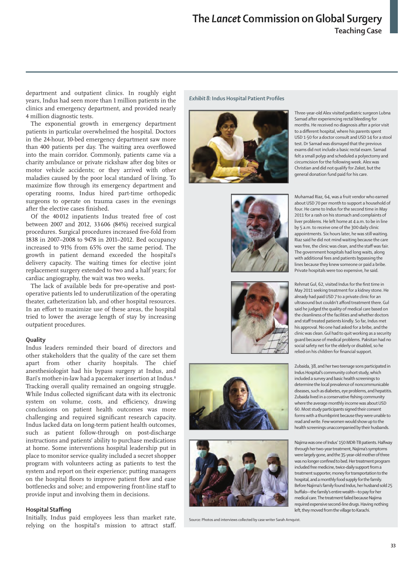department and outpatient clinics. In roughly eight years, Indus had seen more than 1 million patients in the clinics and emergency department, and provided nearly 4 million diagnostic tests.

The exponential growth in emergency department patients in particular overwhelmed the hospital. Doctors in the 24-hour, 10-bed emergency department saw more than 400 patients per day. The waiting area overflowed into the main corridor. Commonly, patients came via a charity ambulance or private rickshaw after dog bites or motor vehicle accidents; or they arrived with other maladies caused by the poor local standard of living. To maximize flow through its emergency department and operating rooms, Indus hired part-time orthopedic surgeons to operate on trauma cases in the evenings after the elective cases finished.

Of the 40 012 inpatients Indus treated free of cost between 2007 and 2012, 33606 (84%) received surgical procedures. Surgical procedures increased five-fold from 1838 in 2007–2008 to 9478 in 2011–2012. Bed occupancy increased to 91% from 65% over the same period. The growth in patient demand exceeded the hospital's delivery capacity. The waiting times for elective joint replacement surgery extended to two and a half years; for cardiac angiography, the wait was two weeks.

The lack of available beds for pre-operative and postoperative patients led to underutilization of the operating theater, catheterization lab, and other hospital resources. In an effort to maximize use of these areas, the hospital tried to lower the average length of stay by increasing outpatient procedures.

## **Quality**

Indus leaders reminded their board of directors and other stakeholders that the quality of the care set them apart from other charity hospitals. The chief anesthesiologist had his bypass surgery at Indus, and Bari's mother-in-law had a pacemaker insertion at Indus.<sup>B</sup> Tracking overall quality remained an ongoing struggle. While Indus collected significant data with its electronic system on volume, costs, and efficiency, drawing conclusions on patient health outcomes was more challenging and required significant research capacity. Indus lacked data on long-term patient health outcomes, such as patient follow-through on post-discharge instructions and patients' ability to purchase medications at home. Some interventions hospital leadership put in place to monitor service quality included a secret shopper program with volunteers acting as patients to test the system and report on their experience; putting managers on the hospital floors to improve patient flow and ease bottlenecks and solve; and empowering front-line staff to provide input and involving them in decisions.

## **Hospital Staffing**

Initially, Indus paid employees less than market rate, relying on the hospital's mission to attract staff. *Exhibit 8:* **Indus Hospital Patient Profiles**











Source: Photos and interviews collected by case writer Sarah Arnquist.

Three-year-old Alex visited pediatric surgeon Lubna Samad after experiencing rectal bleeding for months. He received no diagnosis after a prior visit to a different hospital, where his parents spent USD 1·50 for a doctor consult and USD 14 for a stool test. Dr Samad was dismayed that the previous exams did not include a basic rectal exam. Samad felt a small polyp and scheduled a polyectomy and circumcision for the following week. Alex was Christian and did not qualify for *Zakat*, but the general donation fund paid for his care.

Muhamad Riaz, 64, was a fruit vendor who earned about USD 70 per month to support a household of four. He came to Indus for the second time in May 2011 for a rash on his stomach and complaints of liver problems. He left home at 4 a.m. to be in line by 5 a.m. to receive one of the 300 daily clinic appointments. Six hours later, he was still waiting. Riaz said he did not mind waiting because the care was free, the clinic was clean, and the staff was fair. The government hospitals had long waits, along with additional fees and patients bypassing the lines because they knew someone or paid a bribe. Private hospitals were too expensive, he said.

Rehmat Gul, 62, visited Indus for the first time in May 2011 seeking treatment for a kidney stone. He already had paid USD 7 to a private clinic for an ultrasound but couldn't afford treatment there. Gul said he judged the quality of medical care based on the cleanliness of the facilities and whether doctors and staff treated patients kindly. So far, Indus met his approval. No one had asked for a bribe, and the clinic was clean. Gul had to quit working as a security guard because of medical problems. Paksitan had no social safety net for the elderly or disabled, so he relied on his children for financial support.

Zubaida, 38, and her two teenage sons participated in Indus Hospital's community cohort study, which included a survey and basic health screenings to determine the local prevalence of noncommunicable diseases, such as diabetes, eye problems, and hepatitis. Zubaida lived in a conservative fishing community where the average monthly income was about USD 60. Most study participants signed their consent forms with a thumbprint because they were unable to read and write. Few women would show up to the health screenings unaccompanied by their husbands.

Najima was one of Indus' 150 MDR-TB patients. Halfway through her two-year treatment, Najima's symptoms were largely gone, and the 35-year-old mother of three was no longer confined to bed. Her treatment program included free medicine, twice-daily support from a treatment supporter, money for transportation to the hospital, and a monthly food supply for the family. Before Najima's family found Indus, her husband sold 25 buffalo—the family's entire wealth—to pay for her medical care. The treatment failed because Najima required expensive second-line drugs. Having nothing left, they moved from the village to Karachi.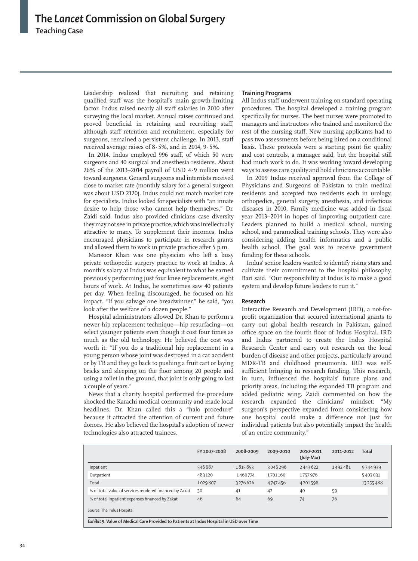Leadership realized that recruiting and retaining qualified staff was the hospital's main growth-limiting factor. Indus raised nearly all staff salaries in 2010 after surveying the local market. Annual raises continued and proved beneficial in retaining and recruiting staff, although staff retention and recruitment, especially for surgeons, remained a persistent challenge. In 2013, staff received average raises of 8·5%, and in 2014, 9·5%.

In 2014, Indus employed 996 staff, of which 50 were surgeons and 40 surgical and anesthesia residents. About 26% of the 2013–2014 payroll of USD 4·9 million went toward surgeons. General surgeons and internists received close to market rate (monthly salary for a general surgeon was about USD 2120). Indus could not match market rate for specialists. Indus looked for specialists with "an innate desire to help those who cannot help themselves," Dr. Zaidi said. Indus also provided clinicians case diversity they may not see in private practice, which was intellectually attractive to many. To supplement their incomes, Indus encouraged physicians to participate in research grants and allowed them to work in private practice after 5 p.m.

Mansoor Khan was one physician who left a busy private orthopedic surgery practice to work at Indus. A month's salary at Indus was equivalent to what he earned previously performing just four knee replacements, eight hours of work. At Indus, he sometimes saw 40 patients per day. When feeling discouraged, he focused on his impact. "If you salvage one breadwinner," he said, "you look after the welfare of a dozen people."

Hospital administrators allowed Dr. Khan to perform a newer hip replacement technique—hip resurfacing—on select younger patients even though it cost four times as much as the old technology. He believed the cost was worth it: "If you do a traditional hip replacement in a young person whose joint was destroyed in a car accident or by TB and they go back to pushing a fruit cart or laying bricks and sleeping on the floor among 20 people and using a toilet in the ground, that joint is only going to last a couple of years."

News that a charity hospital performed the procedure shocked the Karachi medical community and made local headlines. Dr. Khan called this a "halo procedure" because it attracted the attention of current and future donors. He also believed the hospital's adoption of newer technologies also attracted trainees.

#### **Training Programs**

All Indus staff underwent training on standard operating procedures. The hospital developed a training program specifically for nurses. The best nurses were promoted to managers and instructors who trained and monitored the rest of the nursing staff. New nursing applicants had to pass two assessments before being hired on a conditional basis. These protocols were a starting point for quality and cost controls, a manager said, but the hospital still had much work to do. It was working toward developing ways to assess care quality and hold clinicians accountable.

In 2009 Indus received approval from the College of Physicians and Surgeons of Pakistan to train medical residents and accepted two residents each in urology, orthopedics, general surgery, anesthesia, and infectious diseases in 2010. Family medicine was added in fiscal year 2013–2014 in hopes of improving outpatient care. Leaders planned to build a medical school, nursing school, and paramedical training schools. They were also considering adding health informatics and a public health school. The goal was to receive government funding for these schools.

Indus' senior leaders wanted to identify rising stars and cultivate their commitment to the hospital philosophy, Bari said. "Our responsibility at Indus is to make a good system and develop future leaders to run it."

# **Research**

Interactive Research and Development (IRD), a not-forprofit organization that secured international grants to carry out global health research in Pakistan, gained office space on the fourth floor of Indus Hospital. IRD and Indus partnered to create the Indus Hospital Research Center and carry out research on the local burden of disease and other projects, particularly around MDR-TB and childhood pneumonia. IRD was selfsufficient bringing in research funding. This research, in turn, influenced the hospitals' future plans and priority areas, including the expanded TB program and added pediatric wing. Zaidi commented on how the research expanded the clinicians' mindset: "My surgeon's perspective expanded from considering how one hospital could make a difference not just for individual patients but also potentially impact the health of an entire community."

|                                                                                          | FY 2007-2008 | 2008-2009 | 2009-2010 | 2010-2011<br>(July-Mar) | 2011-2012 | Total    |
|------------------------------------------------------------------------------------------|--------------|-----------|-----------|-------------------------|-----------|----------|
| Inpatient                                                                                | 546687       | 1815853   | 3046296   | 2443622                 | 1492481   | 9344939  |
| Outpatient                                                                               | 483120       | 1460774   | 1701160   | 1757976                 |           | 5403031  |
| Total                                                                                    | 1029807      | 3276626   | 4747456   | 4201598                 |           | 13255488 |
| % of total value of services rendered financed by Zakat                                  | 30           | 41        | 42        | 40                      | 59        |          |
| % of total inpatient expenses financed by Zakat                                          | 46           | 64        | 69        | 74                      | 76        |          |
| Source: The Indus Hospital.                                                              |              |           |           |                         |           |          |
| Exhibit 9: Value of Medical Care Provided to Patients at Indus Hospital in USD over Time |              |           |           |                         |           |          |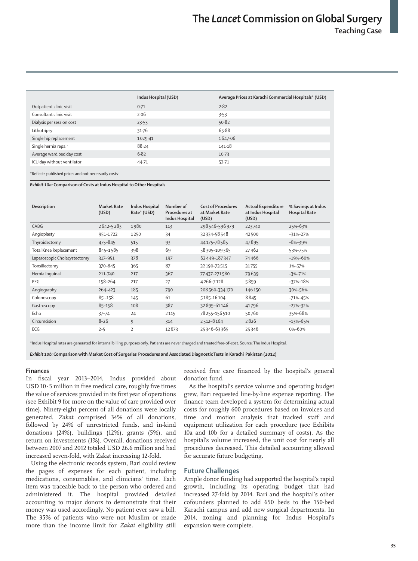|                                                                                                                                                                                                                                           | Indus Hospital (USD) | Average Prices at Karachi Commercial Hospitals* (USD) |
|-------------------------------------------------------------------------------------------------------------------------------------------------------------------------------------------------------------------------------------------|----------------------|-------------------------------------------------------|
| Outpatient clinic visit                                                                                                                                                                                                                   | 0.71                 | 2.82                                                  |
| Consultant clinic visit                                                                                                                                                                                                                   | 2.06                 | 3.53                                                  |
| Dialysis per session cost                                                                                                                                                                                                                 | 23.53                | 50.82                                                 |
| Lithotripsy                                                                                                                                                                                                                               | 31.76                | 65.88                                                 |
| Single hip replacement                                                                                                                                                                                                                    | 1029.41              | 1647.06                                               |
| Single hernia repair                                                                                                                                                                                                                      | 88.24                | 141.18                                                |
| Average ward bed day cost                                                                                                                                                                                                                 | 6.82                 | $10-73$                                               |
| ICU day without ventilator                                                                                                                                                                                                                | 44.71                | $52 - 71$                                             |
| $\mathcal{A} = \mathcal{A}$ . The state of the state of the state of the state of the state of the state of the state of the state of the state of the state of the state of the state of the state of the state of the state of the stat |                      |                                                       |

\*Reflects published prices and not necessarily costs·

*Exhibit 10a:* **Comparison of Costs at Indus Hospital to Other Hospitals**

| Description                                                                                                                                                                                                                                                                             | <b>Market Rate</b><br>(USD) | Indus Hospital<br>Rate* (USD) | Number of<br>Procedures at<br>Indus Hospital | <b>Cost of Procedures</b><br>at Market Rate<br>(USD) | <b>Actual Expenditure</b><br>at Indus Hospital<br>(USD) | % Savings at Indus<br><b>Hospital Rate</b> |
|-----------------------------------------------------------------------------------------------------------------------------------------------------------------------------------------------------------------------------------------------------------------------------------------|-----------------------------|-------------------------------|----------------------------------------------|------------------------------------------------------|---------------------------------------------------------|--------------------------------------------|
| CABG                                                                                                                                                                                                                                                                                    | 2642-5283                   | 1980                          | 113                                          | 298546-596979                                        | 223740                                                  | 25%-63%                                    |
| Angioplasty                                                                                                                                                                                                                                                                             | 951-1722                    | 1250                          | 34                                           | 32334-58548                                          | 42500                                                   | $-31\% - 27\%$                             |
| Thyroidectomy                                                                                                                                                                                                                                                                           | 475-845                     | 515                           | 93                                           | 44175-78585                                          | 47895                                                   | $-8% - 39%$                                |
| Total Knee Replacement                                                                                                                                                                                                                                                                  | 845-1585                    | 398                           | 69                                           | 58305-109365                                         | 27462                                                   | 53%-75%                                    |
| Laparoscopic Cholecystectomy                                                                                                                                                                                                                                                            | 317-951                     | 378                           | 197                                          | 62449-187347                                         | 74466                                                   | $-19% - 60%$                               |
| Tonsillectomy                                                                                                                                                                                                                                                                           | 370-845                     | 365                           | 87                                           | 32190-73515                                          | 31755                                                   | 1%-57%                                     |
| Hernia Inquinal                                                                                                                                                                                                                                                                         | 211-740                     | 217                           | 367                                          | 77437-271580                                         | 79639                                                   | $-3% -71%$                                 |
| PEG                                                                                                                                                                                                                                                                                     | 158-264                     | 217                           | 27                                           | 4266-7128                                            | 5859                                                    | $-37% - 18%$                               |
| Angiography                                                                                                                                                                                                                                                                             | 264-423                     | 185                           | 790                                          | 208 560-334 170                                      | 146150                                                  | 30%-56%                                    |
| Colonoscopy                                                                                                                                                                                                                                                                             | $85 - 158$                  | 145                           | 61                                           | 5185-16104                                           | 8845                                                    | $-71% - 45%$                               |
| Gastroscopy                                                                                                                                                                                                                                                                             | 85-158                      | 108                           | 387                                          | 32895-61146                                          | 41796                                                   | $-27% - 32%$                               |
| Echo                                                                                                                                                                                                                                                                                    | $37 - 74$                   | 24                            | 2115                                         | 78255-156510                                         | 50760                                                   | 35%-68%                                    |
| Circumcision                                                                                                                                                                                                                                                                            | $8 - 26$                    | 9                             | 314                                          | 2512-8164                                            | 2826                                                    | $-13% - 65%$                               |
| ECG                                                                                                                                                                                                                                                                                     | $2 - 5$                     | $\overline{2}$                | 12673                                        | 25346-63365                                          | 25346                                                   | 0%-60%                                     |
| *Indus Hospital rates are generated for internal billing purposes only. Patients are never charged and treated free-of-cost. Source: The Indus Hospital.<br>Exhibit 10b: Comparison with Market Cost of Surgeries Procedures and Associated Diagnostic Tests in Karachi Pakistan (2012) |                             |                               |                                              |                                                      |                                                         |                                            |

#### **Finances**

In fiscal year 2013–2014, Indus provided about USD 10·5 million in free medical care, roughly five times the value of services provided in its first year of operations (see Exhibit 9 for more on the value of care provided over time). Ninety-eight percent of all donations were locally generated. *Zakat* comprised 34% of all donations, followed by 24% of unrestricted funds, and in-kind donations (24%), buildings (12%), grants (5%), and return on investments (1%). Overall, donations received between 2007 and 2012 totaled USD 26.6 million and had increased seven-fold, with Zakat increasing 12-fold.

Using the electronic records system, Bari could review the pages of expenses for each patient, including medications, consumables, and clinicians' time. Each item was traceable back to the person who ordered and administered it. The hospital provided detailed accounting to major donors to demonstrate that their money was used accordingly. No patient ever saw a bill. The 35% of patients who were not Muslim or made more than the income limit for *Zakat* eligibility still received free care financed by the hospital's general donation fund.

As the hospital's service volume and operating budget grew, Bari requested line-by-line expense reporting. The finance team developed a system for determining actual costs for roughly 600 procedures based on invoices and time and motion analysis that tracked staff and equipment utilization for each procedure (see Exhibits 10a and 10b for a detailed summary of costs). As the hospital's volume increased, the unit cost for nearly all procedures decreased. This detailed accounting allowed for accurate future budgeting.

## **Future Challenges**

Ample donor funding had supported the hospital's rapid growth, including its operating budget that had increased 27-fold by 2014. Bari and the hospital's other cofounders planned to add 650 beds to the 150-bed Karachi campus and add new surgical departments. In 2014, zoning and planning for Indus Hospital's expansion were complete.